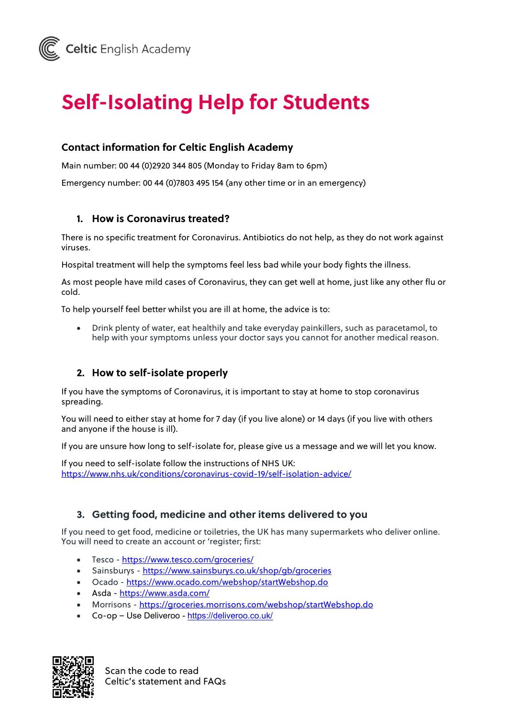# **Self-Isolating Help for Students**

# **Contact information for Celtic English Academy**

Main number: 00 44 (0)2920 344 805 (Monday to Friday 8am to 6pm)

Emergency number: 00 44 (0)7803 495 154 (any other time or in an emergency)

### **1. How is Coronavirus treated?**

There is no specific treatment for Coronavirus. Antibiotics do not help, as they do not work against viruses.

Hospital treatment will help the symptoms feel less bad while your body fights the illness.

As most people have mild cases of Coronavirus, they can get well at home, just like any other flu or cold.

To help yourself feel better whilst you are ill at home, the advice is to:

• Drink plenty of water, eat healthily and take everyday painkillers, such as paracetamol, to help with your symptoms unless your doctor says you cannot for another medical reason.

# **2. How to self-isolate properly**

If you have the symptoms of Coronavirus, it is important to stay at home to stop coronavirus spreading.

You will need to either stay at home for 7 day (if you live alone) or 14 days (if you live with others and anyone if the house is ill).

If you are unsure how long to self-isolate for, please give us a message and we will let you know.

If you need to self-isolate follow the instructions of NHS UK: https://www.nhs.uk/conditions/coronavirus-covid-19/self-isolation-advice/

#### **3. Getting food, medicine and other items delivered to you**

If you need to get food, medicine or toiletries, the UK has many supermarkets who deliver online. You will need to create an account or 'register; first:

- Tesco https://www.tesco.com/groceries/
- Sainsburys https://www.sainsburys.co.uk/shop/qb/groceries
- Ocado https://www.ocado.com/webshop/startWebshop.do
- Asda https://www.asda.com/
- Morrisons https://groceries.morrisons.com/webshop/startWebshop.do
- Co-op Use Deliveroo https://deliveroo.co.uk/



Scan the code to read Celtic's statement and FAQs